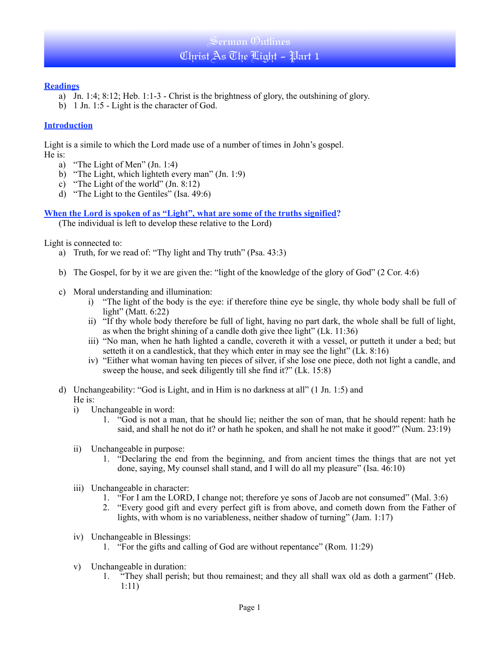## Sermon Outlines Christ As The Light - Part 1

## **Readings**

- a) Jn. 1:4;  $8:12$ ; Heb. 1:1-3 Christ is the brightness of glory, the outshining of glory.
- b) 1 Jn. 1:5 Light is the character of God.

## **Introduction**

Light is a simile to which the Lord made use of a number of times in John's gospel. He is:

- a) "The Light of Men" (Jn. 1:4)
- b) "The Light, which lighteth every man" (Jn. 1:9)
- c) "The Light of the world" (Jn. 8:12)
- d) "The Light to the Gentiles" (Isa. 49:6)

**When the Lord is spoken of as "Light", what are some of the truths signified?**

(The individual is left to develop these relative to the Lord)

Light is connected to:

- a) Truth, for we read of: "Thy light and Thy truth" (Psa. 43:3)
- b) The Gospel, for by it we are given the: "light of the knowledge of the glory of God" (2 Cor. 4:6)
- c) Moral understanding and illumination:
	- i) "The light of the body is the eye: if therefore thine eye be single, thy whole body shall be full of light" (Matt.  $6:22$ )
	- ii) "If thy whole body therefore be full of light, having no part dark, the whole shall be full of light, as when the bright shining of a candle doth give thee light" (Lk. 11:36)
	- iii) "No man, when he hath lighted a candle, covereth it with a vessel, or putteth it under a bed; but setteth it on a candlestick, that they which enter in may see the light"  $(L\hat{k}$ . 8:16)
	- iv) "Either what woman having ten pieces of silver, if she lose one piece, doth not light a candle, and sweep the house, and seek diligently till she find it?" (Lk. 15:8)
- d) Unchangeability: "God is Light, and in Him is no darkness at all" (1 Jn. 1:5) and He is:
	- i) Unchangeable in word:
		- 1. "God is not a man, that he should lie; neither the son of man, that he should repent: hath he said, and shall he not do it? or hath he spoken, and shall he not make it good?" (Num. 23:19)
	- ii) Unchangeable in purpose:
		- 1. "Declaring the end from the beginning, and from ancient times the things that are not yet done, saying, My counsel shall stand, and I will do all my pleasure" (Isa. 46:10)
	- iii) Unchangeable in character:
		- 1. "For I am the LORD, I change not; therefore ye sons of Jacob are not consumed" (Mal. 3:6)
		- 2. "Every good gift and every perfect gift is from above, and cometh down from the Father of lights, with whom is no variableness, neither shadow of turning" (Jam. 1:17)
	- iv) Unchangeable in Blessings:
		- 1. "For the gifts and calling of God are without repentance" (Rom. 11:29)
	- v) Unchangeable in duration:
		- 1. "They shall perish; but thou remainest; and they all shall wax old as doth a garment" (Heb. 1:11)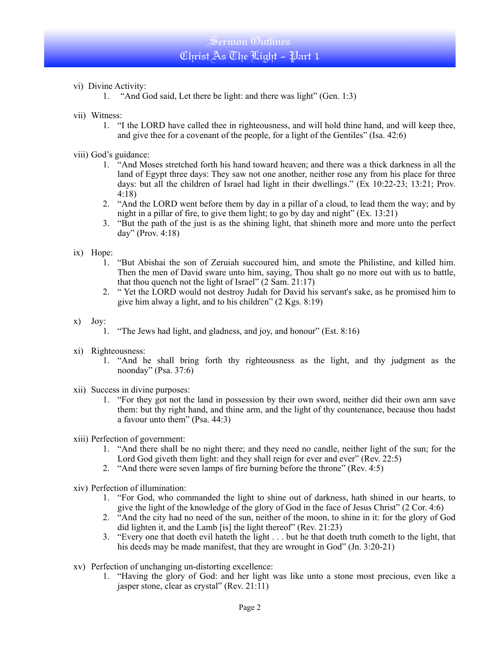- vi) Divine Activity:
	- 1. "And God said, Let there be light: and there was light" (Gen. 1:3)
- vii) Witness:
	- 1. "I the LORD have called thee in righteousness, and will hold thine hand, and will keep thee, and give thee for a covenant of the people, for a light of the Gentiles" (Isa. 42:6)
- viii) God's guidance:
	- 1. "And Moses stretched forth his hand toward heaven; and there was a thick darkness in all the land of Egypt three days: They saw not one another, neither rose any from his place for three days: but all the children of Israel had light in their dwellings." (Ex 10:22-23; 13:21; Prov.  $4:18$
	- 2. "And the LORD went before them by day in a pillar of a cloud, to lead them the way; and by night in a pillar of fire, to give them light; to go by day and night" (Ex. 13:21)
	- 3. "But the path of the just is as the shining light, that shineth more and more unto the perfect day" (Prov. 4:18)
- ix) Hope:
	- 1. "But Abishai the son of Zeruiah succoured him, and smote the Philistine, and killed him. Then the men of David sware unto him, saying, Thou shalt go no more out with us to battle, that thou quench not the light of Israel"  $(2 \text{ Sam. } 21:17)$
	- 2. " Yet the LORD would not destroy Judah for David his servant's sake, as he promised him to give him alway a light, and to his children" (2 Kgs. 8:19)
- x) Joy:
	- 1. "The Jews had light, and gladness, and joy, and honour" (Est. 8:16)
- xi) Righteousness:
	- 1. "And he shall bring forth thy righteousness as the light, and thy judgment as the noonday" (Psa. 37:6)
- xii) Success in divine purposes:
	- 1. "For they got not the land in possession by their own sword, neither did their own arm save them: but thy right hand, and thine arm, and the light of thy countenance, because thou hadst a favour unto them" (Psa. 44:3)
- xiii) Perfection of government:
	- 1. "And there shall be no night there; and they need no candle, neither light of the sun; for the Lord God giveth them light: and they shall reign for ever and ever" (Rev. 22:5)
	- 2. "And there were seven lamps of fire burning before the throne" (Rev. 4:5)
- xiv) Perfection of illumination:
	- 1. "For God, who commanded the light to shine out of darkness, hath shined in our hearts, to give the light of the knowledge of the glory of God in the face of Jesus Christ" (2 Cor. 4:6)
	- 2. "And the city had no need of the sun, neither of the moon, to shine in it: for the glory of God did lighten it, and the Lamb [is] the light thereof" (Rev. 21:23)
	- 3. "Every one that doeth evil hateth the light . . . but he that doeth truth cometh to the light, that his deeds may be made manifest, that they are wrought in God" (Jn. 3:20-21)
- xv) Perfection of unchanging un-distorting excellence:
	- 1. "Having the glory of God: and her light was like unto a stone most precious, even like a jasper stone, clear as crystal" (Rev. 21:11)